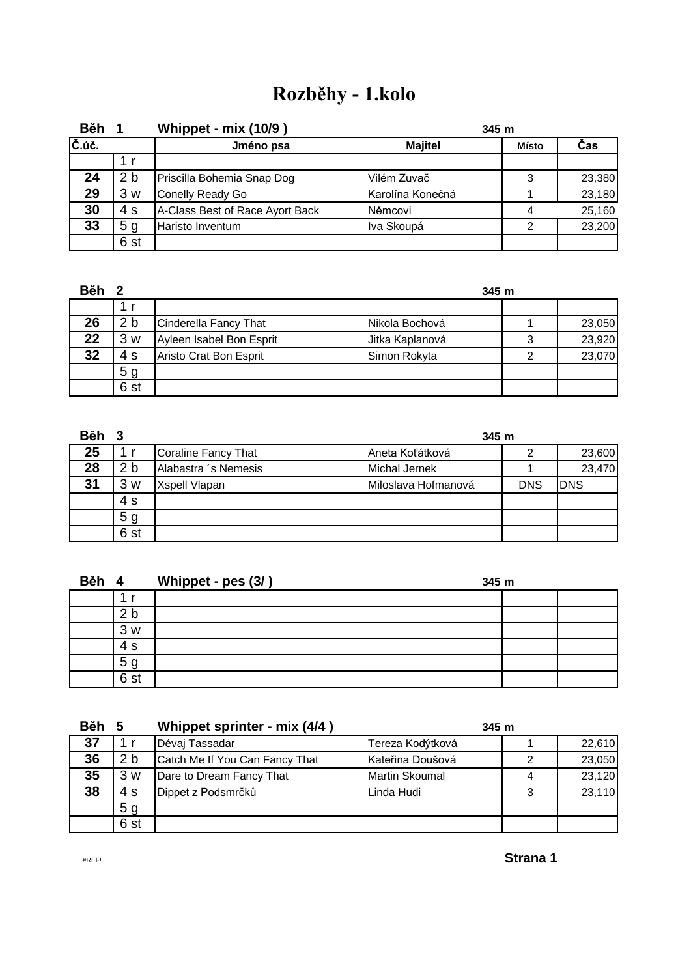# **Rozběhy - 1.kolo**

| Běh                                                        |                | Whippet - mix (10/9)            | 345 m            |              |        |  |
|------------------------------------------------------------|----------------|---------------------------------|------------------|--------------|--------|--|
| $\check{\mathsf{C}}.\check{\mathsf{u}}\check{\mathsf{c}}.$ |                | Jméno psa                       | <b>Majitel</b>   | <b>Místo</b> | Čas    |  |
|                                                            |                |                                 |                  |              |        |  |
| 24                                                         | 2 <sub>b</sub> | Priscilla Bohemia Snap Dog      | Vilém Zuvač      | 3            | 23,380 |  |
| 29                                                         | 3 w            | Conelly Ready Go                | Karolína Konečná |              | 23,180 |  |
| 30                                                         | 4 s            | A-Class Best of Race Ayort Back | Němcovi          |              | 25,160 |  |
| 33                                                         | 5 <sub>g</sub> | Haristo Inventum                | Iva Skoupá       | ◠            | 23,200 |  |
|                                                            | 6 st           |                                 |                  |              |        |  |

| Běh <sub>2</sub> |                 |                          |                 | 345m |        |
|------------------|-----------------|--------------------------|-----------------|------|--------|
|                  |                 |                          |                 |      |        |
| 26               | 2 b             | Cinderella Fancy That    | Nikola Bochová  |      | 23,050 |
| 22               | 3 w             | Ayleen Isabel Bon Esprit | Jitka Kaplanová | 3    | 23,920 |
| 32               | 4 s             | Aristo Crat Bon Esprit   | Simon Rokyta    |      | 23,070 |
|                  | 5 g             |                          |                 |      |        |
|                  | 6 <sub>st</sub> |                          |                 |      |        |

| Běh 3 |                 |                      | 345m                |            |        |  |
|-------|-----------------|----------------------|---------------------|------------|--------|--|
| 25    |                 | Coraline Fancy That  | Aneta Koťátková     |            | 23,600 |  |
| 28    | 2 <sub>b</sub>  | Alabastra 's Nemesis | Michal Jernek       |            | 23,470 |  |
| 31    | 3w              | Xspell Vlapan        | Miloslava Hofmanová | <b>DNS</b> | IDNS   |  |
|       | 4 s             |                      |                     |            |        |  |
|       | 5 g             |                      |                     |            |        |  |
|       | 6 <sub>st</sub> |                      |                     |            |        |  |

| Běh | $\overline{\mathbf{4}}$ | Whippet - pes (3/) | 345 m |  |  |
|-----|-------------------------|--------------------|-------|--|--|
|     |                         |                    |       |  |  |
|     | 2 <sub>b</sub>          |                    |       |  |  |
|     | 3w                      |                    |       |  |  |
|     | 4 s                     |                    |       |  |  |
|     | 5 <sub>g</sub>          |                    |       |  |  |
|     | 6 st                    |                    |       |  |  |

| <b>Běh</b> | .5              | Whippet sprinter - mix (4/4)   | 345m             |   |        |
|------------|-----------------|--------------------------------|------------------|---|--------|
| 37         | 1 r             | Dévaj Tassadar                 | Tereza Kodýtková |   | 22,610 |
| 36         | 2 b             | Catch Me If You Can Fancy That | Kateřina Doušová |   | 23,050 |
| 35         | 3 w             | Dare to Dream Fancy That       | Martin Skoumal   | 4 | 23,120 |
| 38         | 4 s             | Dippet z Podsmrčků             | Linda Hudi       |   | 23,110 |
|            | 5 <sub>g</sub>  |                                |                  |   |        |
|            | 6 <sub>st</sub> |                                |                  |   |        |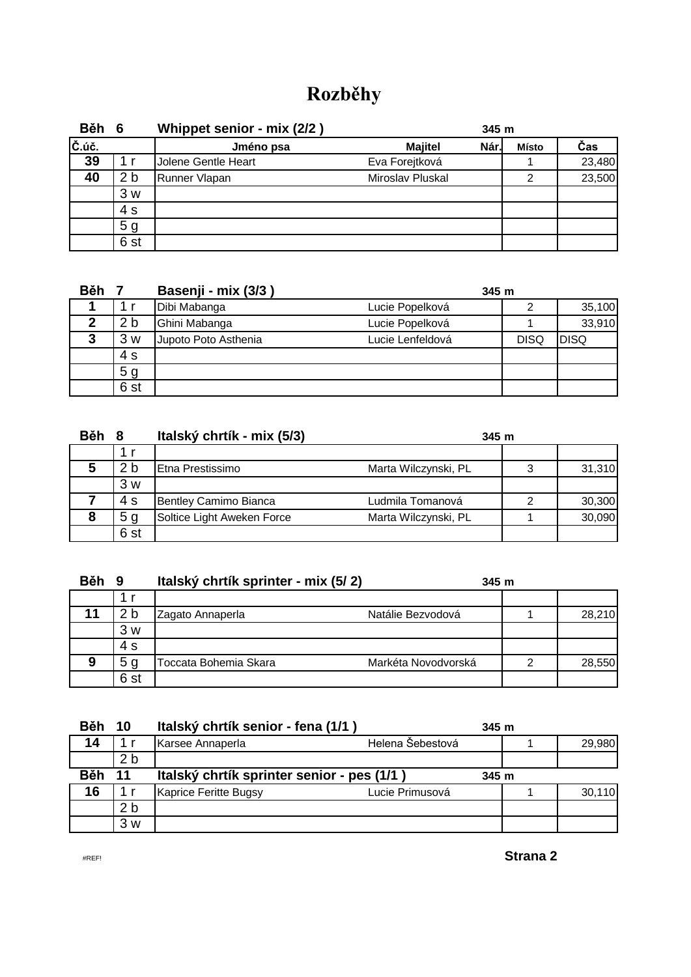## **Rozběhy**

| Běh 6                                                      |                 | Whippet senior - mix (2/2) | 345 m                  |              |        |
|------------------------------------------------------------|-----------------|----------------------------|------------------------|--------------|--------|
| $\check{\mathsf{C}}.\check{\mathsf{u}}\check{\mathsf{c}}.$ |                 | Jméno psa                  | Nár.<br><b>Majitel</b> | <b>Místo</b> | Čas    |
| 39                                                         | 1 r             | Jolene Gentle Heart        | Eva Forejtková         |              | 23,480 |
| 40                                                         | 2 <sub>b</sub>  | Runner Vlapan              | Miroslav Pluskal       | 2            | 23,500 |
|                                                            | 3w              |                            |                        |              |        |
|                                                            | 4 s             |                            |                        |              |        |
|                                                            | 5 <sub>g</sub>  |                            |                        |              |        |
|                                                            | 6 <sub>st</sub> |                            |                        |              |        |

| <b>Běh</b> |                 | Basenji - mix (3/3)  |                  | 345m        |             |  |
|------------|-----------------|----------------------|------------------|-------------|-------------|--|
|            |                 | Dibi Mabanga         | Lucie Popelková  |             | 35,100      |  |
| ?          | 2 b             | Ghini Mabanga        | Lucie Popelková  |             | 33,910      |  |
| 3          | 3 w             | Jupoto Poto Asthenia | Lucie Lenfeldová | <b>DISQ</b> | <b>DISQ</b> |  |
|            | 4 s             |                      |                  |             |             |  |
|            | 5 <sub>g</sub>  |                      |                  |             |             |  |
|            | 6 <sub>st</sub> |                      |                  |             |             |  |

| <b>Běh</b> | - 8             | Italský chrtík - mix (5/3) | 345m                 |   |        |
|------------|-----------------|----------------------------|----------------------|---|--------|
|            |                 |                            |                      |   |        |
| 5          | 2 b             | IEtna Prestissimo          | Marta Wilczynski, PL |   | 31,310 |
|            | 3 w             |                            |                      |   |        |
|            | 4 s             | Bentley Camimo Bianca      | Ludmila Tomanová     | 2 | 30,300 |
| 8          | 5 <sub>q</sub>  | Soltice Light Aweken Force | Marta Wilczynski, PL |   | 30,090 |
|            | 6 <sub>st</sub> |                            |                      |   |        |

| <b>Běh</b> | 9               | Italský chrtík sprinter - mix (5/2) | 345m                |   |        |
|------------|-----------------|-------------------------------------|---------------------|---|--------|
|            |                 |                                     |                     |   |        |
|            | 2 <sub>b</sub>  | Zagato Annaperla                    | Natálie Bezvodová   |   | 28,210 |
|            | 3 w             |                                     |                     |   |        |
|            | 4 s             |                                     |                     |   |        |
| 9          | 5 <sub>g</sub>  | <b>Foccata Bohemia Skara</b>        | Markéta Novodvorská | ⌒ | 28,550 |
|            | 6 <sub>st</sub> |                                     |                     |   |        |

| <b>Běh</b> | 10             | Italský chrtík senior - fena (1/1)         |                  | 345m |        |
|------------|----------------|--------------------------------------------|------------------|------|--------|
| 14         | 1 r            | Karsee Annaperla                           | Helena Šebestová |      | 29,980 |
|            | 2 b            |                                            |                  |      |        |
| <b>Běh</b> | 11             | Italský chrtík sprinter senior - pes (1/1) |                  | 345m |        |
| 16         |                | Kaprice Feritte Bugsy                      | Lucie Primusová  |      | 30,110 |
|            | 2 <sub>b</sub> |                                            |                  |      |        |
|            | 3 w            |                                            |                  |      |        |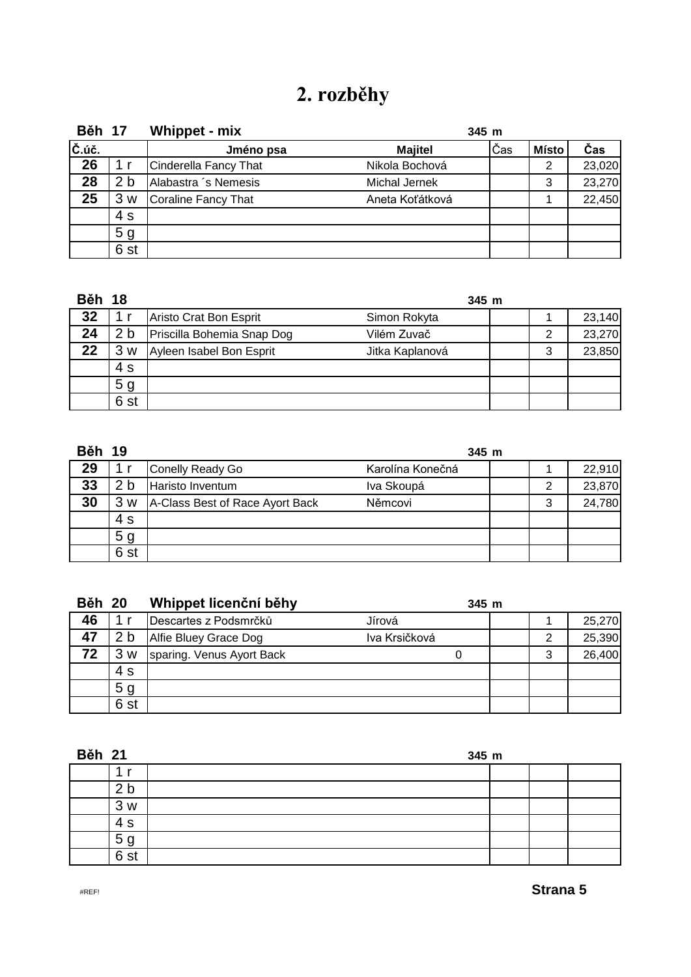# **2. rozběhy**

| <b>Běh 17</b> |                | Whippet - mix         | 345 m           |     |              |        |
|---------------|----------------|-----------------------|-----------------|-----|--------------|--------|
| Č.úč.         |                | Jméno psa             | <b>Majitel</b>  | Čas | <b>Místo</b> | Čas    |
| 26            | 1 r            | Cinderella Fancy That | Nikola Bochová  |     | 2            | 23,020 |
| 28            | 2 <sub>b</sub> | Alabastra 's Nemesis  | Michal Jernek   |     | 3            | 23,270 |
| 25            | 3w             | Coraline Fancy That   | Aneta Koťátková |     |              | 22,450 |
|               | 4 s            |                       |                 |     |              |        |
|               | 5 <sub>g</sub> |                       |                 |     |              |        |
|               | 6 st           |                       |                 |     |              |        |

| <b>Běh 18</b> |                |                            | 345 m           |   |        |
|---------------|----------------|----------------------------|-----------------|---|--------|
| 32            |                | Aristo Crat Bon Esprit     | Simon Rokyta    |   | 23,140 |
| 24            | 2 <sub>b</sub> | Priscilla Bohemia Snap Dog | Vilém Zuvač     |   | 23,270 |
| 22            | 3w             | Ayleen Isabel Bon Esprit   | Jitka Kaplanová | 3 | 23,850 |
|               | 4 s            |                            |                 |   |        |
|               | 5 <sub>g</sub> |                            |                 |   |        |
|               | 6 st           |                            |                 |   |        |

| <b>Běh</b> | - 19           |                                 | 345 m            |   |        |
|------------|----------------|---------------------------------|------------------|---|--------|
| 29         |                | Conelly Ready Go                | Karolína Konečná |   | 22,910 |
| 33         | 2 <sub>b</sub> | Haristo Inventum                | Iva Skoupá       |   | 23,870 |
| 30         | 3<br>W         | A-Class Best of Race Ayort Back | Němcovi          | 3 | 24,780 |
|            | 4 s            |                                 |                  |   |        |
|            | 5 <sub>g</sub> |                                 |                  |   |        |
|            | 6 st           |                                 |                  |   |        |

| <b>Běh 20</b> |                 | Whippet licenční běhy     | $345$ m       |   |        |
|---------------|-----------------|---------------------------|---------------|---|--------|
| 46            |                 | Descartes z Podsmrčků     | Jírová        |   | 25,270 |
| 47            | 2 <sub>b</sub>  | Alfie Bluey Grace Dog     | Iva Krsičková |   | 25,390 |
| 72            | 3<br>W          | sparing. Venus Ayort Back |               | 3 | 26,400 |
|               | 4 s             |                           |               |   |        |
|               | 5 <sub>g</sub>  |                           |               |   |        |
|               | 6 <sub>st</sub> |                           |               |   |        |

| <b>Běh 21</b>  |  |  | 345 m |  |  |  |  |
|----------------|--|--|-------|--|--|--|--|
|                |  |  |       |  |  |  |  |
| b              |  |  |       |  |  |  |  |
| 3w             |  |  |       |  |  |  |  |
| 4 s            |  |  |       |  |  |  |  |
| 5 <sub>g</sub> |  |  |       |  |  |  |  |
| 6 st           |  |  |       |  |  |  |  |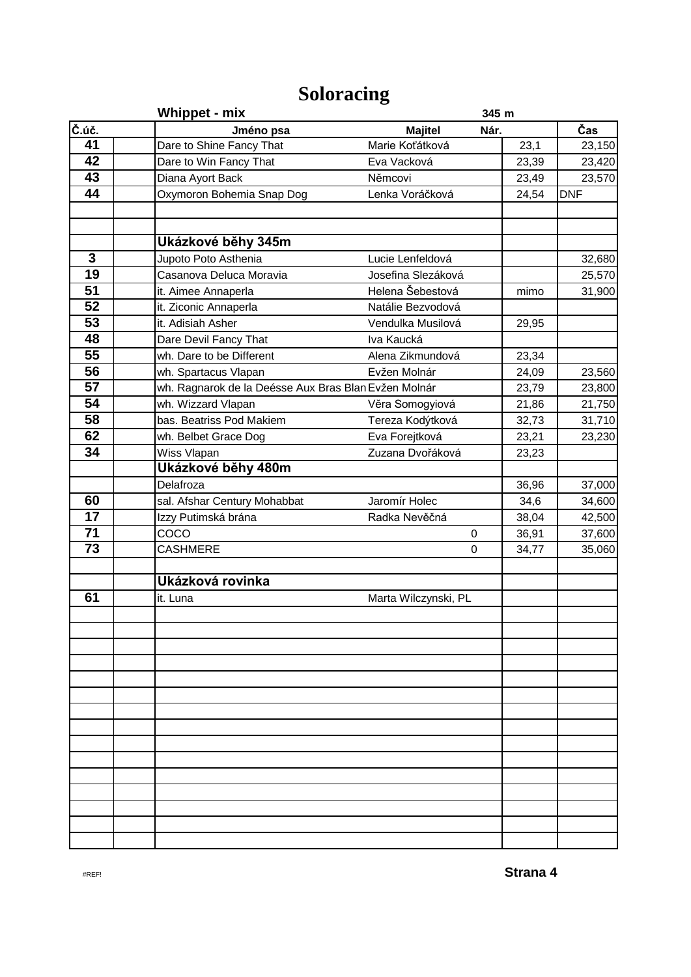## **Soloracing**

|                                       | <b>Whippet - mix</b>                                 |                        | 345 m |            |  |
|---------------------------------------|------------------------------------------------------|------------------------|-------|------------|--|
| $\overline{\check{\mathsf{C}}}$ . úč. | Jméno psa                                            | <b>Majitel</b><br>Nár. |       | Čas        |  |
| 41                                    | Dare to Shine Fancy That                             | Marie Koťátková        | 23,1  | 23,150     |  |
| 42                                    | Dare to Win Fancy That                               | Eva Vacková            | 23,39 | 23,420     |  |
| $\overline{43}$                       | Diana Ayort Back                                     | Němcovi                | 23,49 | 23,570     |  |
| 44                                    | Oxymoron Bohemia Snap Dog                            | Lenka Voráčková        | 24,54 | <b>DNF</b> |  |
|                                       |                                                      |                        |       |            |  |
|                                       | Ukázkové běhy 345m                                   |                        |       |            |  |
| $\mathbf{3}$                          | Jupoto Poto Asthenia                                 | Lucie Lenfeldová       |       | 32,680     |  |
| $\overline{19}$                       | Casanova Deluca Moravia                              | Josefina Slezáková     |       | 25,570     |  |
| $\overline{51}$                       | it. Aimee Annaperla                                  | Helena Šebestová       | mimo  | 31,900     |  |
| $\overline{52}$                       | it. Ziconic Annaperla                                | Natálie Bezvodová      |       |            |  |
| $\overline{53}$                       | it. Adisiah Asher                                    | Vendulka Musilová      | 29,95 |            |  |
| 48                                    | Dare Devil Fancy That                                | Iva Kaucká             |       |            |  |
| 55                                    | wh. Dare to be Different                             | Alena Zikmundová       | 23,34 |            |  |
| 56                                    | wh. Spartacus Vlapan                                 | Evžen Molnár           | 24,09 | 23,560     |  |
| 57                                    | wh. Ragnarok de la Deésse Aux Bras Blan Evžen Molnár |                        | 23,79 | 23,800     |  |
| 54                                    | wh. Wizzard Vlapan                                   | Věra Somogyiová        | 21,86 | 21,750     |  |
| $\overline{58}$                       | bas. Beatriss Pod Makiem                             | Tereza Kodýtková       | 32,73 | 31,710     |  |
| 62                                    | wh. Belbet Grace Dog                                 | Eva Forejtková         | 23,21 | 23,230     |  |
| $\overline{34}$                       | Wiss Vlapan                                          | Zuzana Dvořáková       | 23,23 |            |  |
|                                       | Ukázkové běhy 480m                                   |                        |       |            |  |
|                                       | Delafroza                                            |                        | 36,96 | 37,000     |  |
| 60                                    | sal. Afshar Century Mohabbat                         | Jaromír Holec          | 34,6  | 34,600     |  |
| $\overline{17}$                       | Izzy Putimská brána                                  | Radka Nevěčná          | 38,04 | 42,500     |  |
| 71                                    | COCO                                                 | 0                      | 36,91 | 37,600     |  |
| $\overline{73}$                       | <b>CASHMERE</b>                                      | 0                      | 34,77 | 35,060     |  |
|                                       | Ukázková rovinka                                     |                        |       |            |  |
| 61                                    | it. Luna                                             | Marta Wilczynski, PL   |       |            |  |
|                                       |                                                      |                        |       |            |  |
|                                       |                                                      |                        |       |            |  |
|                                       |                                                      |                        |       |            |  |
|                                       |                                                      |                        |       |            |  |
|                                       |                                                      |                        |       |            |  |
|                                       |                                                      |                        |       |            |  |
|                                       |                                                      |                        |       |            |  |
|                                       |                                                      |                        |       |            |  |
|                                       |                                                      |                        |       |            |  |
|                                       |                                                      |                        |       |            |  |
|                                       |                                                      |                        |       |            |  |
|                                       |                                                      |                        |       |            |  |
|                                       |                                                      |                        |       |            |  |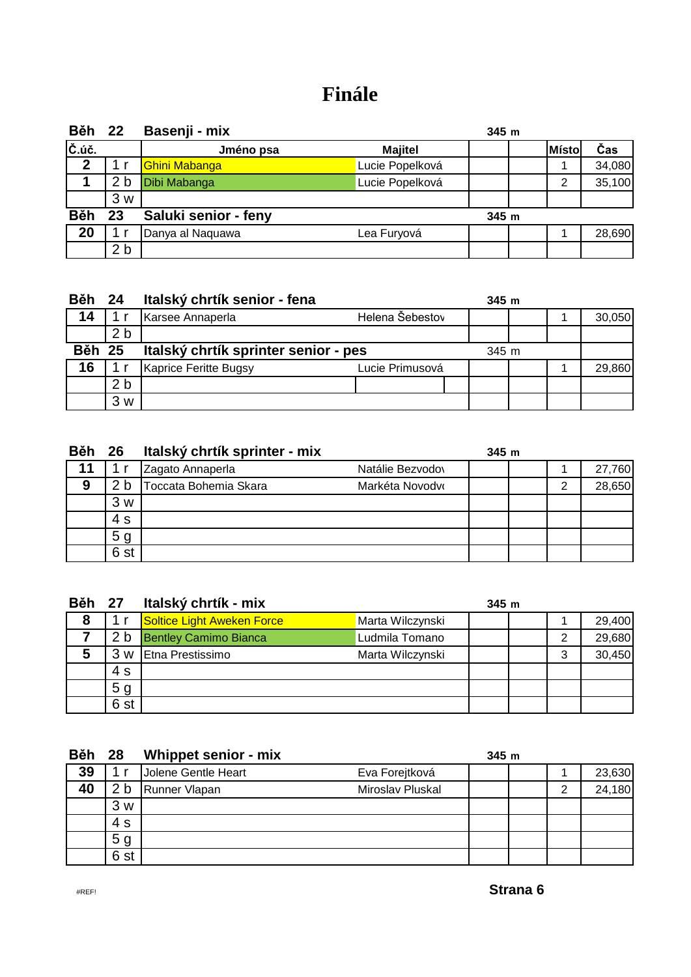### **Finále**

| <b>Běh 22</b> |                | Basenji - mix        |                 | 345m  |       |        |
|---------------|----------------|----------------------|-----------------|-------|-------|--------|
| Č.úč.         |                | Jméno psa            | <b>Majitel</b>  |       | Místo | Čas    |
| $\mathbf 2$   |                | <b>Ghini Mabanga</b> | Lucie Popelková |       |       | 34,080 |
|               | 2 <sub>b</sub> | Dibi Mabanga         | Lucie Popelková |       | 2     | 35,100 |
|               | 3 w            |                      |                 |       |       |        |
| <b>Běh</b>    | 23             | Saluki senior - feny |                 | 345 m |       |        |
| 20            |                | Danya al Naquawa     | Lea Furyová     |       |       | 28,690 |
|               | 2 <sub>b</sub> |                      |                 |       |       |        |

| <b>Běh 24</b> |                | Italský chrtík senior - fena         |                 | 345 m |  |        |
|---------------|----------------|--------------------------------------|-----------------|-------|--|--------|
| 14            |                | Karsee Annaperla                     | Helena Šebestov |       |  | 30,050 |
|               | 2 <sub>b</sub> |                                      |                 |       |  |        |
| <b>Běh 25</b> |                | Italský chrtík sprinter senior - pes |                 | 345 m |  |        |
| 16            |                | Kaprice Feritte Bugsy                | Lucie Primusová |       |  | 29,860 |
|               | 2 <sub>b</sub> |                                      |                 |       |  |        |
|               | 3<br>W         |                                      |                 |       |  |        |

| <b>Běh 26</b> |                | Italský chrtík sprinter - mix |                  | 345m |        |
|---------------|----------------|-------------------------------|------------------|------|--------|
| 11            |                | Zagato Annaperla              | Natálie Bezvodov |      | 27,760 |
| 9             | 2 <sub>b</sub> | Toccata Bohemia Skara         | Markéta Novodvo  |      | 28,650 |
|               | 3w             |                               |                  |      |        |
|               | 4 s            |                               |                  |      |        |
|               | 5 <sub>g</sub> |                               |                  |      |        |
|               | 6 st           |                               |                  |      |        |

| <b>Běh 27</b> |                | Italský chrtík - mix         |                  | 345m |   |        |
|---------------|----------------|------------------------------|------------------|------|---|--------|
| 8             |                | Soltice Light Aweken Force   | Marta Wilczynski |      |   | 29,400 |
|               | 2 <sub>b</sub> | <b>Bentley Camimo Bianca</b> | udmila Tomano    |      | っ | 29,680 |
| 5             | 3<br>W         | Etna Prestissimo             | Marta Wilczynski |      | 3 | 30,450 |
|               | 4 s            |                              |                  |      |   |        |
|               | 5 <sub>g</sub> |                              |                  |      |   |        |
|               | 6 st           |                              |                  |      |   |        |

| <b>Běh 28</b> |                | Whippet senior - mix |                  | 345m |   |        |
|---------------|----------------|----------------------|------------------|------|---|--------|
| 39            |                | Jolene Gentle Heart  | Eva Forejtková   |      |   | 23,630 |
| 40            | 2 <sub>b</sub> | Runner Vlapan        | Miroslav Pluskal |      | 2 | 24,180 |
|               | 3w             |                      |                  |      |   |        |
|               | 4 s            |                      |                  |      |   |        |
|               | 5 <sub>g</sub> |                      |                  |      |   |        |
|               | 6 st           |                      |                  |      |   |        |